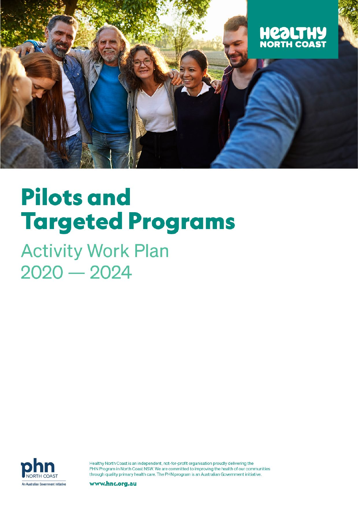

# **Pilots and Targeted Programs**

**Activity Work Plan**  $2020 - 2024$ 



Healthy North Coast is an independent, not-for-profit organisation proudly delivering the PHN Program in North Coast NSW. We are committed to improving the health of our communities through quality primary health care. The PHN program is an Australian Government initiative.

www.hnc.org.au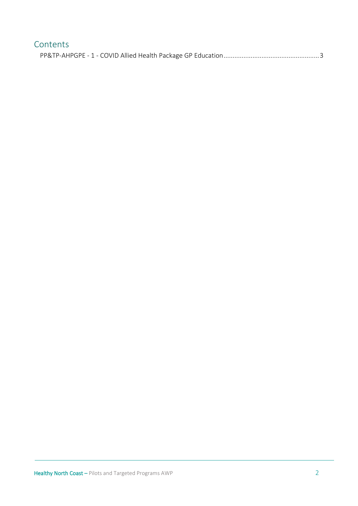| Contents |
|----------|
|          |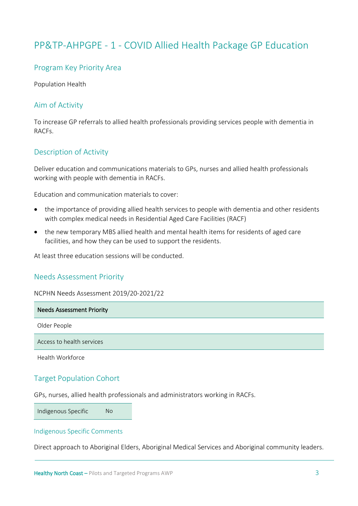## <span id="page-2-0"></span>PP&TP-AHPGPE - 1 - COVID Allied Health Package GP Education

## Program Key Priority Area

Population Health

## Aim of Activity

To increase GP referrals to allied health professionals providing services people with dementia in RACFs.

## Description of Activity

Deliver education and communications materials to GPs, nurses and allied health professionals working with people with dementia in RACFs.

Education and communication materials to cover:

- the importance of providing allied health services to people with dementia and other residents with complex medical needs in Residential Aged Care Facilities (RACF)
- the new temporary MBS allied health and mental health items for residents of aged care facilities, and how they can be used to support the residents.

At least three education sessions will be conducted.

### Needs Assessment Priority

NCPHN Needs Assessment 2019/20-2021/22

| <b>Needs Assessment Priority</b> |
|----------------------------------|
| Older People                     |
| Access to health services        |
| Health Workforce                 |

## Target Population Cohort

GPs, nurses, allied health professionals and administrators working in RACFs.

Indigenous Specific No

#### Indigenous Specific Comments

Direct approach to Aboriginal Elders, Aboriginal Medical Services and Aboriginal community leaders.